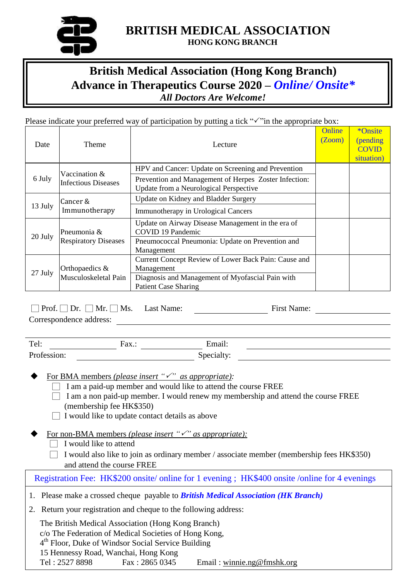

## **BRITISH MEDICAL ASSOCIATION HONG KONG BRANCH**

## **British Medical Association (Hong Kong Branch) Advance in Therapeutics Course 2020 –** *Online/ Onsite\* All Doctors Are Welcome!*

## Please indicate your preferred way of participation by putting a tick " $\checkmark$ " in the appropriate box:

| Date    | Theme                                       | Lecture                                                                                                                | Online<br><b>Zoom</b> ) | *Onsite<br>(pending<br><b>COVID</b><br>situation) |
|---------|---------------------------------------------|------------------------------------------------------------------------------------------------------------------------|-------------------------|---------------------------------------------------|
| 6 July  | Vaccination &<br><b>Infectious Diseases</b> | HPV and Cancer: Update on Screening and Prevention                                                                     |                         |                                                   |
|         |                                             | Prevention and Management of Herpes Zoster Infection:<br>Update from a Neurological Perspective                        |                         |                                                   |
| 13 July | Cancer &<br>Immunotherapy                   | Update on Kidney and Bladder Surgery                                                                                   |                         |                                                   |
|         |                                             | Immunotherapy in Urological Cancers                                                                                    |                         |                                                   |
| 20 July | Pneumonia &<br><b>Respiratory Diseases</b>  | Update on Airway Disease Management in the era of<br><b>COVID 19 Pandemic</b>                                          |                         |                                                   |
|         |                                             | Pneumococcal Pneumonia: Update on Prevention and<br>Management                                                         |                         |                                                   |
| 27 July | Orthopaedics &<br>Musculoskeletal Pain      | Current Concept Review of Lower Back Pain: Cause and<br>Management<br>Diagnosis and Management of Myofascial Pain with |                         |                                                   |
|         |                                             | <b>Patient Case Sharing</b>                                                                                            |                         |                                                   |

□ Prof. □ Dr. □ Mr. □ Ms. Last Name: First Name: Correspondence address:

| Tel:        | Fax.: | Email:     |
|-------------|-------|------------|
| Profession: |       | Specialty: |

For BMA members *(please insert "" as appropriate):*

- $\Box$  I am a paid-up member and would like to attend the course FREE
- $\Box$  I am a non paid-up member. I would renew my membership and attend the course FREE (membership fee HK\$350)
- $\Box$  I would like to update contact details as above
- For non-BMA members *(please insert "" as appropriate):*
	- $\Box$  I would like to attend
	- $\Box$  I would also like to join as ordinary member / associate member (membership fees HK\$350) and attend the course FREE

Registration Fee: HK\$200 onsite/ online for 1 evening ; HK\$400 onsite /online for 4 evenings

- 1. Please make a crossed cheque payable to *British Medical Association (HK Branch)*
- 2. Return your registration and cheque to the following address:

The British Medical Association (Hong Kong Branch) c/o The Federation of Medical Societies of Hong Kong, 4<sup>th</sup> Floor, Duke of Windsor Social Service Building 15 Hennessy Road, Wanchai, Hong Kong Tel : 2527 8898 Fax : 2865 0345 Email : [winnie.ng@fmshk.org](mailto:winnie.ng@fmshk.org)